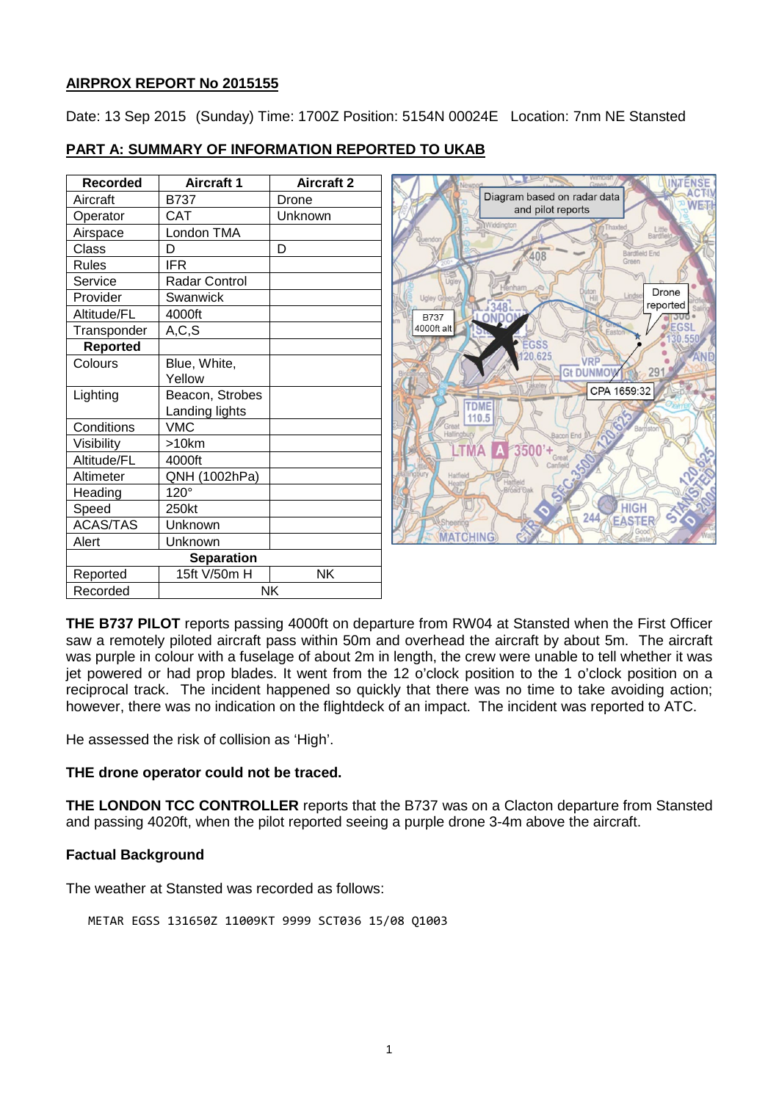# **AIRPROX REPORT No 2015155**

Date: 13 Sep 2015 (Sunday) Time: 1700Z Position: 5154N 00024E Location: 7nm NE Stansted

| <b>Recorded</b>   | <b>Aircraft 1</b>    | <b>Aircraft 2</b> |
|-------------------|----------------------|-------------------|
| Aircraft          | <b>B737</b>          | Drone             |
| Operator          | <b>CAT</b>           | Unknown           |
| Airspace          | London TMA           |                   |
| Class             | D                    | D                 |
| Rules             | IFR                  |                   |
| Service           | <b>Radar Control</b> |                   |
| Provider          | Swanwick             |                   |
| Altitude/FL       | 4000ft               |                   |
| Transponder       | A, C, S              |                   |
| Reported          |                      |                   |
| Colours           | Blue, White,         |                   |
|                   | Yellow               |                   |
| Lighting          | Beacon, Strobes      |                   |
|                   | Landing lights       |                   |
| Conditions        | <b>VMC</b>           |                   |
| Visibility        | >10km                |                   |
| Altitude/FL       | 4000ft               |                   |
| Altimeter         | QNH (1002hPa)        |                   |
| Heading           | $120^\circ$          |                   |
| Speed             | 250kt                |                   |
| <b>ACAS/TAS</b>   | Unknown              |                   |
| Alert             | Unknown              |                   |
| <b>Separation</b> |                      |                   |
| Reported          | 15ft V/50m H         | NΚ                |
| Recorded          | NK                   |                   |

# **PART A: SUMMARY OF INFORMATION REPORTED TO UKAB**



**THE B737 PILOT** reports passing 4000ft on departure from RW04 at Stansted when the First Officer saw a remotely piloted aircraft pass within 50m and overhead the aircraft by about 5m. The aircraft was purple in colour with a fuselage of about 2m in length, the crew were unable to tell whether it was jet powered or had prop blades. It went from the 12 o'clock position to the 1 o'clock position on a reciprocal track. The incident happened so quickly that there was no time to take avoiding action; however, there was no indication on the flightdeck of an impact. The incident was reported to ATC.

He assessed the risk of collision as 'High'.

## **THE drone operator could not be traced.**

**THE LONDON TCC CONTROLLER** reports that the B737 was on a Clacton departure from Stansted and passing 4020ft, when the pilot reported seeing a purple drone 3-4m above the aircraft.

## **Factual Background**

The weather at Stansted was recorded as follows:

METAR EGSS 131650Z 11009KT 9999 SCT036 15/08 Q1003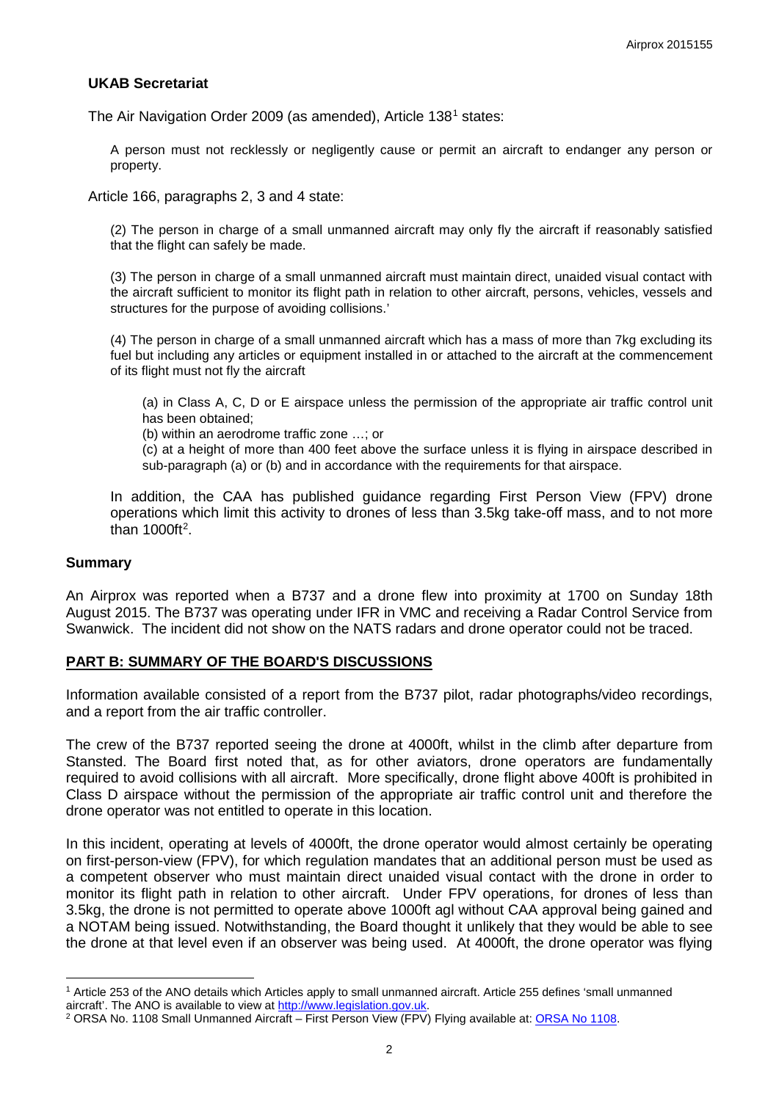### **UKAB Secretariat**

The Air Navigation Order 2009 (as amended), Article [1](#page-1-0)38<sup>1</sup> states:

A person must not recklessly or negligently cause or permit an aircraft to endanger any person or property.

Article 166, paragraphs 2, 3 and 4 state:

(2) The person in charge of a small unmanned aircraft may only fly the aircraft if reasonably satisfied that the flight can safely be made.

(3) The person in charge of a small unmanned aircraft must maintain direct, unaided visual contact with the aircraft sufficient to monitor its flight path in relation to other aircraft, persons, vehicles, vessels and structures for the purpose of avoiding collisions.'

(4) The person in charge of a small unmanned aircraft which has a mass of more than 7kg excluding its fuel but including any articles or equipment installed in or attached to the aircraft at the commencement of its flight must not fly the aircraft

(a) in Class A, C, D or E airspace unless the permission of the appropriate air traffic control unit has been obtained;

(b) within an aerodrome traffic zone …; or

(c) at a height of more than 400 feet above the surface unless it is flying in airspace described in sub-paragraph (a) or (b) and in accordance with the requirements for that airspace.

In addition, the CAA has published guidance regarding First Person View (FPV) drone operations which limit this activity to drones of less than 3.5kg take-off mass, and to not more than 1000ft<sup>[2](#page-1-1)</sup>.

#### **Summary**

 $\overline{\phantom{a}}$ 

An Airprox was reported when a B737 and a drone flew into proximity at 1700 on Sunday 18th August 2015. The B737 was operating under IFR in VMC and receiving a Radar Control Service from Swanwick. The incident did not show on the NATS radars and drone operator could not be traced.

### **PART B: SUMMARY OF THE BOARD'S DISCUSSIONS**

Information available consisted of a report from the B737 pilot, radar photographs/video recordings, and a report from the air traffic controller.

The crew of the B737 reported seeing the drone at 4000ft, whilst in the climb after departure from Stansted. The Board first noted that, as for other aviators, drone operators are fundamentally required to avoid collisions with all aircraft. More specifically, drone flight above 400ft is prohibited in Class D airspace without the permission of the appropriate air traffic control unit and therefore the drone operator was not entitled to operate in this location.

In this incident, operating at levels of 4000ft, the drone operator would almost certainly be operating on first-person-view (FPV), for which regulation mandates that an additional person must be used as a competent observer who must maintain direct unaided visual contact with the drone in order to monitor its flight path in relation to other aircraft. Under FPV operations, for drones of less than 3.5kg, the drone is not permitted to operate above 1000ft agl without CAA approval being gained and a NOTAM being issued. Notwithstanding, the Board thought it unlikely that they would be able to see the drone at that level even if an observer was being used. At 4000ft, the drone operator was flying

<span id="page-1-0"></span><sup>&</sup>lt;sup>1</sup> Article 253 of the ANO details which Articles apply to small unmanned aircraft. Article 255 defines 'small unmanned aircraft'. The ANO is available to view at http://www.legislation.gov.uk.

<span id="page-1-1"></span><sup>&</sup>lt;sup>2</sup> ORSA No. 1108 Small Unmanned Aircraft – First Person View (FPV) Flying available at: ORSA No 1108.